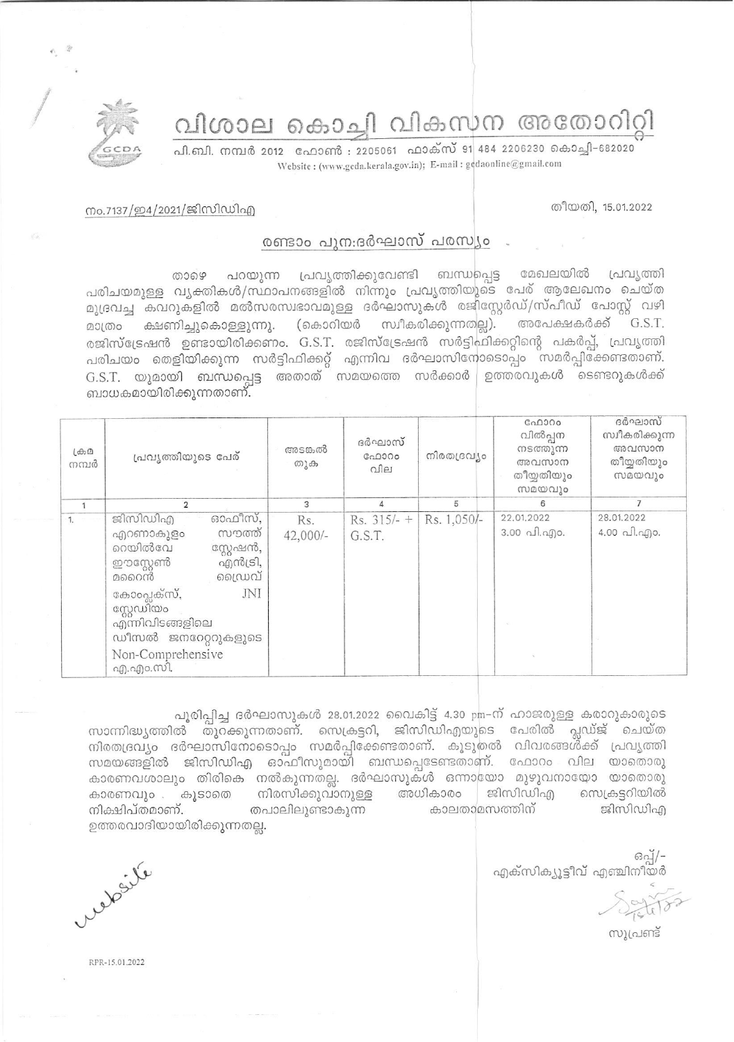വിശാല കൊച്ചി വികസന അതോറിറ്റി

പി.ബി. നമ്പർ 2012 ഫോൺ : 2205061 ഫാക്സ് 91 484 2206230 കൊച്ചി-682020 Website: (www.gcda.kerala.gov.in); E-mail: gcdaonline@gmail.com

## തീയതി, 15.01.2022

## നം.7137/ഇ4/2021/ജിസിഡിഎ

## രണ്ടാം പുന:ദർഘാസ് പരസ്യം

പറയുന്ന പ്രവൃത്തിക്കുവേണ്ടി ബന്ധപ്പെട്ട മേഖലയിൽ പ്രവ്യത്തി றைஒ പരിചയമുള്ള വൃക്തികൾ/സ്ഥാപനങ്ങളിൽ നിന്നും പ്രവൃത്തിയുടെ പേര് ആലേഖനം ചെയ്ത മുദ്രവച്ച കവറുകളിൽ മൽസരസ്വഭാവമുള്ള ദർഘാസുകൾ രജിസ്റ്റേർഡ്/സ്പീഡ് പോസ്റ്റ് വഴി മാത്രം ക്ഷണിച്ചുകൊള്ളുന്നു. (കൊറിയർ സ്വീകരിക്കുന്നതല്ല). അപേക്ഷകർക്ക് G.S.T. രജിസ്ട്രേഷൻ ഉണ്ടായിരിക്കണം. G.S.T. രജിസ്ട്രേഷൻ സർട്ടിഫിക്കറ്റിന്റെ പകർപ്പ്, പ്രവൃത്തി പരിചയം തെളിയിക്കുന്ന സർട്ടിഫിക്കറ്റ് എന്നിവ ദർഘാസിനോടൊപ്പം സമർപ്പിക്കേണ്ടതാണ്.  $G.S.T.$  യുമായി ബന്ധപ്പെട്ട അതാത് സമയത്തെ സർക്കാർ $\mid$  ഉത്തരവുകൾ കടണ്ടറുകൾക്ക് ബാധകമായിരിക്കുന്നതാണ്.

| $L\oplus D$<br>നമ്പർ | പ്രവ്യത്തിയുടെ പേര്                                                                                                                                                                                                   | അടങ്കൽ<br>തുക   | ദർഘാസ്<br>GAD000<br>വില | നിരതദ്രവ്യം | C <sub>0</sub> 0000<br>വിൽപ്പന<br>നടത്തുന്ന<br>അവസാന<br>തീയ്യതിയും<br>സമയവും | ദർഘാസ്<br>സ്വീകരിക്കുന്ന<br>അവസാന<br>തീയ്യതിയും<br>സമയവും |
|----------------------|-----------------------------------------------------------------------------------------------------------------------------------------------------------------------------------------------------------------------|-----------------|-------------------------|-------------|------------------------------------------------------------------------------|-----------------------------------------------------------|
|                      | $\overline{2}$                                                                                                                                                                                                        | 3               | 4                       | 5           | 6                                                                            | $\overline{7}$                                            |
| 1.                   | ഓഫീസ്,<br>ജിസിഡിഎ<br>സൗത്ത്<br>എറണാകുളം<br>റെയിൽവേ<br>സ്റ്റേഷൻ,<br>എൻട്രി,<br>ഈസ്റ്റേൺ<br>ഡൈവ്<br>മറൈൻ<br>കോംപ്ലക്സ്,<br>JNI<br>സ്റ്റേഡിയം<br>എന്നിവിടങ്ങളിലെ<br>ഡീസൽ ജനറേറ്ററുകളുടെ<br>Non-Comprehensive<br>എ.എം.സി. | Rs.<br>42,000/- | $Rs. 315/- +$<br>G.S.T. | Rs. 1,050/- | 22.01.2022<br>$3.00 \text{ }\Omega$ . $\Omega$ 0.                            | 28.01.2022<br>4.00 പി.എം.                                 |

പൂരിപ്പിച്ച ദർഘാസുകൾ 28.01.2022 വൈകിട്ട് 4.30 pm-ന് ഹാജരുള്ള കരാറുകാരുടെ സാന്നിദ്ധ്യത്തിൽ തുറക്കുന്നതാണ്. സെക്രട്ടറി, ജിസിഡിഎയുടെ പേരിൽ പ്ലഡ്ജ് ചെയ്ത നിരതദ്രവ്യം ദർഘാസിനോടൊപ്പം സമർപ്പിക്കേണ്ടതാണ്. കൂടുതൽ വിവരങ്ങൾ്ക്ക് പ്രവൃത്തി സമയങ്ങളിൽ ജിസിഡിഎ ഓഫീസുമായി ബന്ധപ്പെടേണ്ടതാണ്. ഫോറം വില യാതൊരു കാരണവശാലും തിരികെ നൽകുന്നതല്ല. ദർഘാസുകൾ ഒന്നായോ മുഴുവനായോ യാതൊരു കാരണവും . കൂടാതെ നിരസിക്കുവാനുള്ള അധികാരം ജിസിഡിഎ സെക്രട്ടറിയിൽ തപാലിലുണ്ടാകുന്ന കാലതാമസത്തിന് ജിസിഡിഎ നിക്ഷിപ്തമാണ്. ഉത്തരവാദിയായിരിക്കുന്നതല്ല.

ഒപ്പ്/-എക്സിക്യൂട്ടീവ് എഞ്ചിനീയർ

സൂപ്രണ്ട്

Ne ville

RPR-15.01.2022